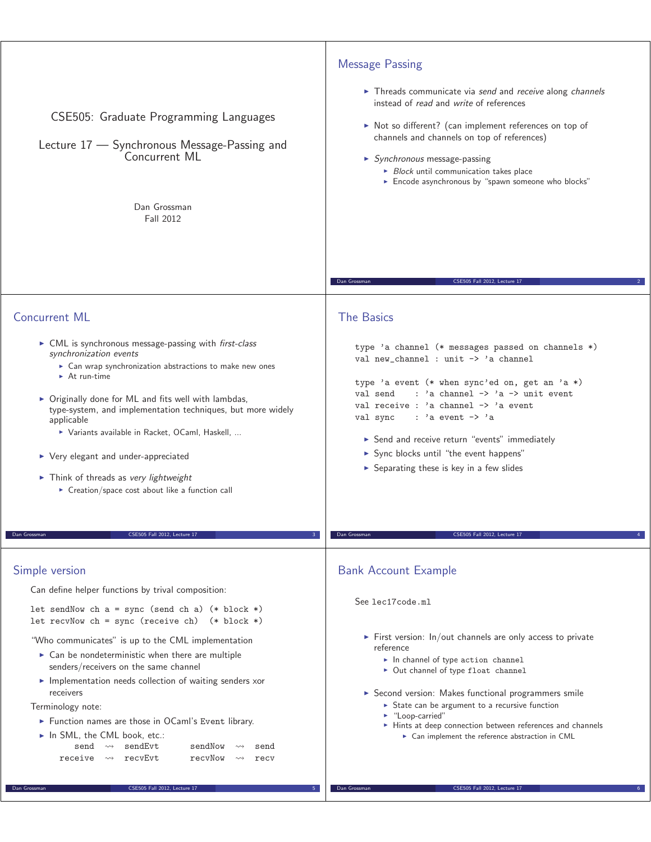| CSE505: Graduate Programming Languages<br>Lecture 17 - Synchronous Message-Passing and<br>Concurrent ML<br>Dan Grossman<br><b>Fall 2012</b>                                                                                                                                                                                                                                                                                                                                                                                                                                                                                                                             | <b>Message Passing</b><br>Threads communicate via send and receive along channels<br>instead of read and write of references<br>• Not so different? (can implement references on top of<br>channels and channels on top of references)<br>$\triangleright$ Synchronous message-passing<br>$\triangleright$ Block until communication takes place<br>Encode asynchronous by "spawn someone who blocks"                                                                                     |
|-------------------------------------------------------------------------------------------------------------------------------------------------------------------------------------------------------------------------------------------------------------------------------------------------------------------------------------------------------------------------------------------------------------------------------------------------------------------------------------------------------------------------------------------------------------------------------------------------------------------------------------------------------------------------|-------------------------------------------------------------------------------------------------------------------------------------------------------------------------------------------------------------------------------------------------------------------------------------------------------------------------------------------------------------------------------------------------------------------------------------------------------------------------------------------|
|                                                                                                                                                                                                                                                                                                                                                                                                                                                                                                                                                                                                                                                                         | Dan Grossman<br>CSE505 Fall 2012, Lecture 17                                                                                                                                                                                                                                                                                                                                                                                                                                              |
| <b>Concurrent ML</b>                                                                                                                                                                                                                                                                                                                                                                                                                                                                                                                                                                                                                                                    | <b>The Basics</b>                                                                                                                                                                                                                                                                                                                                                                                                                                                                         |
| • CML is synchronous message-passing with <i>first-class</i><br>synchronization events<br>▶ Can wrap synchronization abstractions to make new ones<br>$\triangleright$ At run-time<br>$\triangleright$ Originally done for ML and fits well with lambdas,<br>type-system, and implementation techniques, but more widely<br>applicable<br>> Variants available in Racket, OCaml, Haskell,<br>▶ Very elegant and under-appreciated<br>$\triangleright$ Think of threads as very lightweight<br>► Creation/space cost about like a function call                                                                                                                          | type 'a channel (* messages passed on channels *)<br>val new_channel : unit -> 'a channel<br>type 'a event (* when sync'ed on, get an 'a *)<br>: 'a channel $\rightarrow$ 'a $\rightarrow$ unit event<br>val send<br>val receive : 'a channel -> 'a event<br>$: 'a$ event $\rightarrow 'a$<br>val sync<br>Send and receive return "events" immediately<br>> Sync blocks until "the event happens"<br>$\triangleright$ Separating these is key in a few slides                             |
| CSE505 Fall 2012, Lecture 17<br>Dan Grossman                                                                                                                                                                                                                                                                                                                                                                                                                                                                                                                                                                                                                            | CSE505 Fall 2012, Lecture 17<br>Dan Grossman                                                                                                                                                                                                                                                                                                                                                                                                                                              |
| Simple version<br>Can define helper functions by trival composition:<br>let sendNow ch $a = sync$ (send ch a) (* block *)<br>let recvNow ch = sync (receive ch) $(* block *)$<br>"Who communicates" is up to the CML implementation<br>$\triangleright$ Can be nondeterministic when there are multiple<br>senders/receivers on the same channel<br>Implementation needs collection of waiting senders xor<br>receivers<br>Terminology note:<br>Eunction names are those in OCaml's Event library.<br>In SML, the CML book, etc.:<br>sendEvt<br>sendNow<br>send<br>$\leadsto$<br>send<br>recvEvt<br>receive $\rightsquigarrow$<br>recyNow<br>$\rightsquigarrow$<br>recv | <b>Bank Account Example</b><br>See lec17code.ml<br>$\triangleright$ First version: In/out channels are only access to private<br>reference<br>$\blacktriangleright$ In channel of type action channel<br>• Out channel of type float channel<br>Second version: Makes functional programmers smile<br>State can be argument to a recursive function<br>• "Loop-carried"<br>• Hints at deep connection between references and channels<br>► Can implement the reference abstraction in CML |
| CSE505 Fall 2012, Lecture 17<br>Dan Grossman                                                                                                                                                                                                                                                                                                                                                                                                                                                                                                                                                                                                                            | Dan Grossman<br>CSE505 Fall 2012, Lecture 17                                                                                                                                                                                                                                                                                                                                                                                                                                              |
|                                                                                                                                                                                                                                                                                                                                                                                                                                                                                                                                                                                                                                                                         |                                                                                                                                                                                                                                                                                                                                                                                                                                                                                           |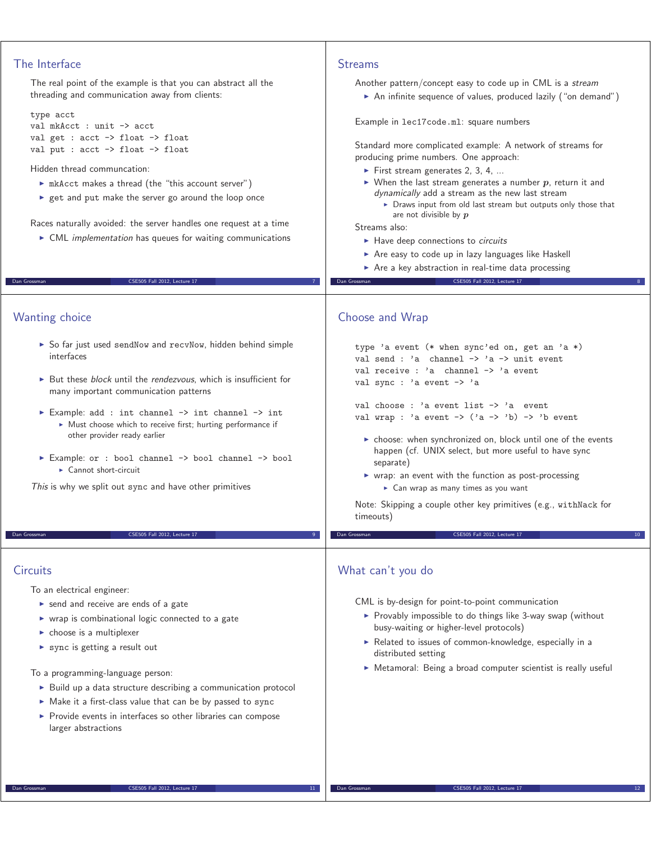| The Interface                                                                                                                                                                                                                                                                                                                                                                                                                                                                                                          | <b>Streams</b>                                                                                                                                                                                                                                                                                                                                                                                                                                                                                                                                                                                                                                                  |
|------------------------------------------------------------------------------------------------------------------------------------------------------------------------------------------------------------------------------------------------------------------------------------------------------------------------------------------------------------------------------------------------------------------------------------------------------------------------------------------------------------------------|-----------------------------------------------------------------------------------------------------------------------------------------------------------------------------------------------------------------------------------------------------------------------------------------------------------------------------------------------------------------------------------------------------------------------------------------------------------------------------------------------------------------------------------------------------------------------------------------------------------------------------------------------------------------|
| The real point of the example is that you can abstract all the<br>threading and communication away from clients:                                                                                                                                                                                                                                                                                                                                                                                                       | Another pattern/concept easy to code up in CML is a stream<br>An infinite sequence of values, produced lazily ("on demand")                                                                                                                                                                                                                                                                                                                                                                                                                                                                                                                                     |
| type acct<br>val mkAcct : unit -> acct<br>val get : $acct \rightarrow float \rightarrow float$<br>val put : acct -> float -> float<br>Hidden thread communcation:<br>In mkAcct makes a thread (the "this account server")<br>► get and put make the server go around the loop once<br>Races naturally avoided: the server handles one request at a time<br>• CML implementation has queues for waiting communications                                                                                                  | Example in lec17code.ml: square numbers<br>Standard more complicated example: A network of streams for<br>producing prime numbers. One approach:<br>First stream generates 2, 3, 4,<br>$\triangleright$ When the last stream generates a number p, return it and<br>dynamically add a stream as the new last stream<br>> Draws input from old last stream but outputs only those that<br>are not divisible by $p$<br>Streams also:<br>Have deep connections to circuits<br>Are easy to code up in lazy languages like Haskell<br>Are a key abstraction in real-time data processing                                                                             |
| CSE505 Fall 2012, Lecture 17<br>Dan Grossman                                                                                                                                                                                                                                                                                                                                                                                                                                                                           | CSE505 Fall 2012, Lecture 17<br>Dan Grossman                                                                                                                                                                                                                                                                                                                                                                                                                                                                                                                                                                                                                    |
| Wanting choice<br>So far just used sendNow and recvNow, hidden behind simple<br>interfaces<br>► But these block until the rendezvous, which is insufficient for<br>many important communication patterns<br>Example: add : int channel -> int channel -> int<br>• Must choose which to receive first; hurting performance if<br>other provider ready earlier<br>Example: or : bool channel -> bool channel -> bool<br>$\triangleright$ Cannot short-circuit<br>This is why we split out sync and have other primitives | Choose and Wrap<br>type 'a event (* when sync'ed on, get an 'a *)<br>val send : 'a channel $\rightarrow$ 'a $\rightarrow$ unit event<br>val receive : 'a channel -> 'a event<br>val sync : 'a event -> 'a<br>val choose : 'a event list -> 'a event<br>val wrap : 'a event $\rightarrow$ ('a $\rightarrow$ 'b) $\rightarrow$ 'b event<br>► choose: when synchronized on, block until one of the events<br>happen (cf. UNIX select, but more useful to have sync<br>separate)<br>▶ wrap: an event with the function as post-processing<br>► Can wrap as many times as you want<br>Note: Skipping a couple other key primitives (e.g., with Nack for<br>timeouts) |
| CSE505 Fall 2012, Lecture 17<br>Dan Grossman<br>9 <sup>°</sup>                                                                                                                                                                                                                                                                                                                                                                                                                                                         | CSE505 Fall 2012, Lecture 17<br>Dan Grossman                                                                                                                                                                                                                                                                                                                                                                                                                                                                                                                                                                                                                    |
| Circuits<br>To an electrical engineer:<br>send and receive are ends of a gate<br>▶ wrap is combinational logic connected to a gate<br>$\triangleright$ choose is a multiplexer<br>sync is getting a result out                                                                                                                                                                                                                                                                                                         | What can't you do<br>CML is by-design for point-to-point communication<br>▶ Provably impossible to do things like 3-way swap (without<br>busy-waiting or higher-level protocols)<br>Related to issues of common-knowledge, especially in a<br>distributed setting<br>Metamoral: Being a broad computer scientist is really useful                                                                                                                                                                                                                                                                                                                               |
| To a programming-language person:<br>> Build up a data structure describing a communication protocol                                                                                                                                                                                                                                                                                                                                                                                                                   |                                                                                                                                                                                                                                                                                                                                                                                                                                                                                                                                                                                                                                                                 |

- Make it a first-class value that can be by passed to sync
- **Provide events in interfaces so other libraries can compose** larger abstractions

## Dan Grossman CSE505 Fall 2012, Lecture 17 11

Dan Grossman CSE505 Fall 2012, Lecture 17 12